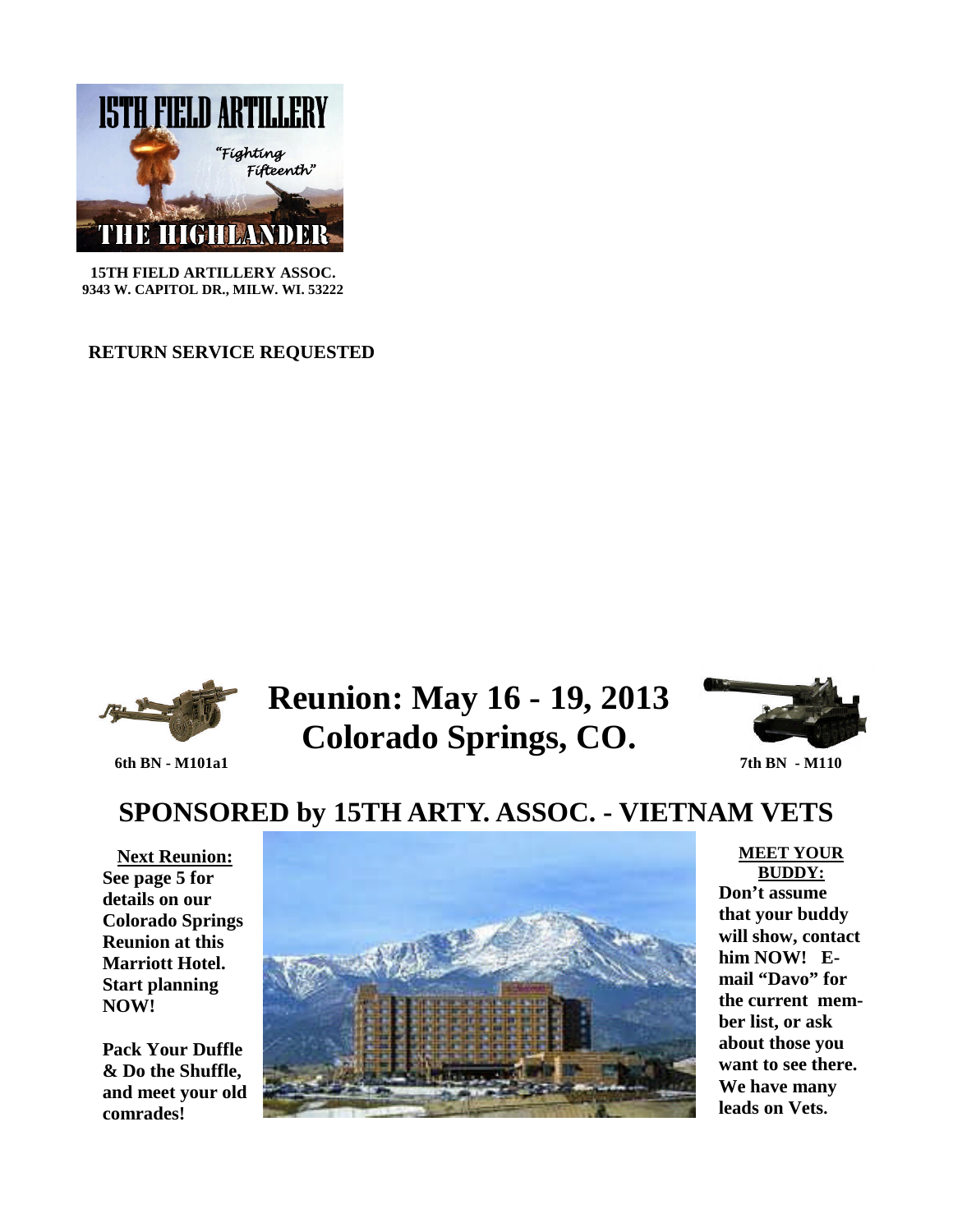

**15TH FIELD ARTILLERY ASSOC. 9343 W. CAPITOL DR., MILW. WI. 53222**

**RETURN SERVICE REQUESTED**



## **Reunion: May 16 - 19, 2013 Colorado Springs, CO. 6th BN - M101a1** 7th BN - M110



# **SPONSORED by 15TH ARTY. ASSOC. - VIETNAM VETS**

**Next Reunion: See page 5 for details on our Colorado Springs Reunion at this Marriott Hotel. Start planning NOW!**

**Pack Your Duffle & Do the Shuffle, and meet your old comrades!**



### **MEET YOUR BUDDY:**

**Don't assume that your buddy will show, contact him NOW! Email "Davo" for the current member list, or ask about those you want to see there. We have many leads on Vets.**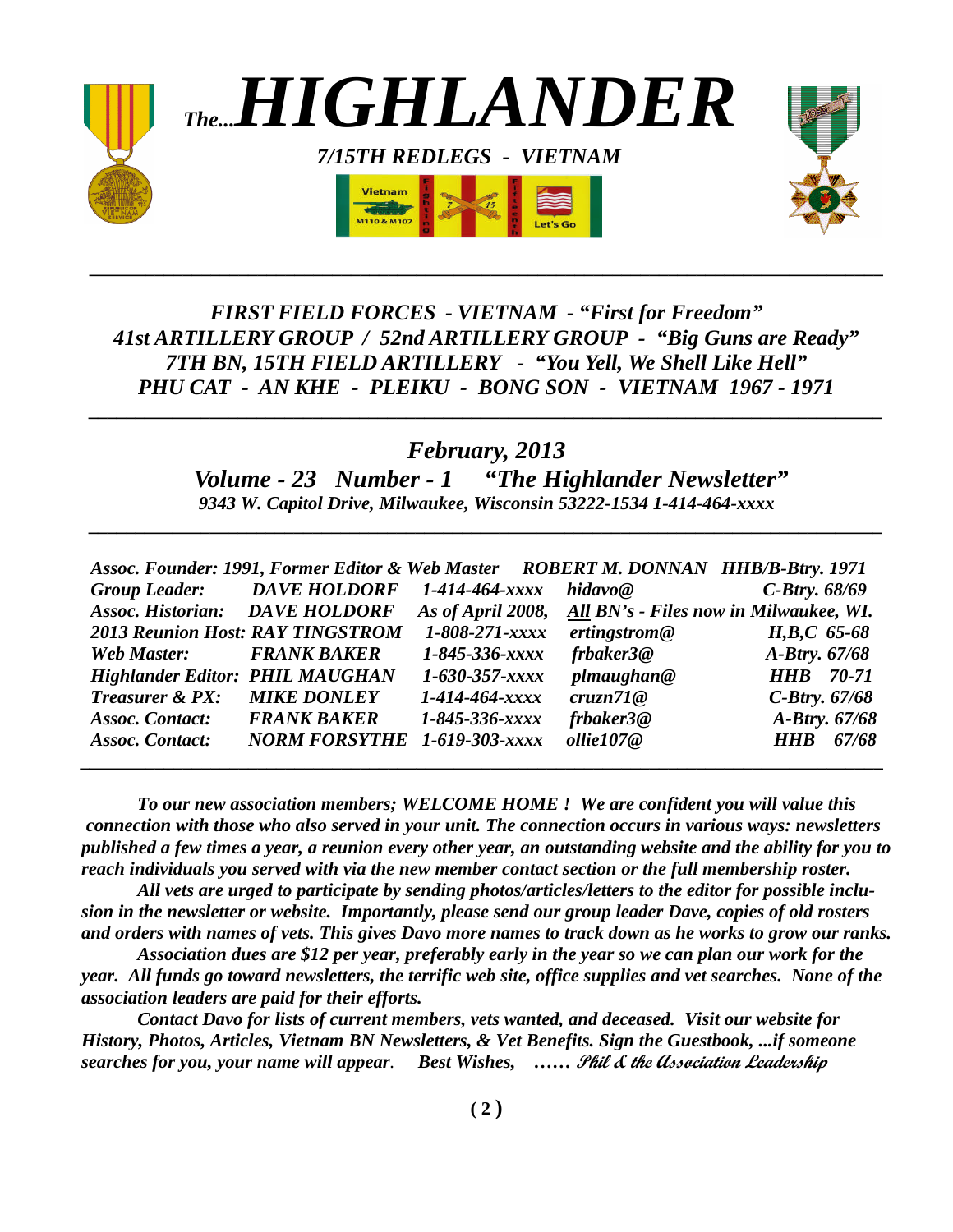

## *FIRST FIELD FORCES - VIETNAM - "First for Freedom" 41st ARTILLERY GROUP / 52nd ARTILLERY GROUP - "Big Guns are Ready" 7TH BN, 15TH FIELD ARTILLERY - "You Yell, We Shell Like Hell" PHU CAT - AN KHE - PLEIKU - BONG SON - VIETNAM 1967 - 1971*

*\_\_\_\_\_\_\_\_\_\_\_\_\_\_\_\_\_\_\_\_\_\_\_\_\_\_\_\_\_\_\_\_\_\_\_\_\_\_\_\_\_\_\_\_\_\_\_\_\_\_\_\_\_\_\_\_\_\_\_\_\_\_\_\_\_\_\_\_\_\_\_\_\_\_\_\_\_\_\_\_\_\_\_\_\_*

## *February, 2013*

*\_\_\_\_\_\_\_\_\_\_\_\_\_\_\_\_\_\_\_\_\_\_\_\_\_\_\_\_\_\_\_\_\_\_\_\_\_\_\_\_\_\_\_\_\_\_\_\_\_\_\_\_\_\_\_\_\_\_\_\_\_\_\_\_\_\_\_\_\_\_\_\_\_\_\_\_\_\_\_\_\_\_\_\_\_*

*Volume - 23 Number - 1 "The Highlander Newsletter" 9343 W. Capitol Drive, Milwaukee, Wisconsin 53222-1534 1-414-464-xxxx*

*\_\_\_\_\_\_\_\_\_\_\_\_\_\_\_\_\_\_\_\_\_\_\_\_\_\_\_\_\_\_\_\_\_\_\_\_\_\_\_\_\_\_\_\_\_\_\_\_\_\_\_\_\_\_\_\_\_\_\_\_\_\_\_\_\_\_\_\_\_\_\_\_\_\_\_\_\_\_\_\_\_\_\_\_\_*

|                                        | Assoc. Founder: 1991, Former Editor & Web Master ROBERT M. DONNAN HHB/B-Btry. 1971 |                        |              |                                                          |
|----------------------------------------|------------------------------------------------------------------------------------|------------------------|--------------|----------------------------------------------------------|
|                                        | Group Leader: DAVE HOLDORF                                                         | 1-414-464-xxxx         | hidavo@      | $C$ -Btry. $68/69$                                       |
| <b>Assoc. Historian:</b> DAVE HOLDORF  |                                                                                    |                        |              | As of April 2008, All BN's - Files now in Milwaukee, WI. |
|                                        | <b>2013 Reunion Host: RAY TINGSTROM</b>                                            | 1-808-271-xxxx         | ertingstrom@ | H,B,C 65-68                                              |
| <b>Web Master:</b>                     | <b>FRANK BAKER</b>                                                                 | 1-845-336-хххх         | frbaker3@    | A-Btry. 67/68                                            |
| <b>Highlander Editor: PHIL MAUGHAN</b> |                                                                                    | $1 - 630 - 357 - xxxx$ | plmaugehan@  | <b>HHB</b> 70-71                                         |
| Treasurer & PX:                        | <b>MIKE DONLEY</b>                                                                 | 1-414-464-xxxx         | cruzn71@     | $C$ -Btry. $67/68$                                       |
| <b>Assoc. Contact:</b>                 | <b>FRANK BAKER</b>                                                                 | 1-845-336-xxxx         | frbaker3@    | A-Btry. 67/68                                            |
| <b>Assoc. Contact:</b>                 | <b>NORM FORSYTHE</b> 1-619-303-xxxx                                                |                        | ollie107@    | 67/68<br><i>HHR</i>                                      |
|                                        |                                                                                    |                        |              |                                                          |

*To our new association members; WELCOME HOME ! We are confident you will value this connection with those who also served in your unit. The connection occurs in various ways: newsletters published a few times a year, a reunion every other year, an outstanding website and the ability for you to reach individuals you served with via the new member contact section or the full membership roster.*

*All vets are urged to participate by sending photos/articles/letters to the editor for possible inclusion in the newsletter or website. Importantly, please send our group leader Dave, copies of old rosters and orders with names of vets. This gives Davo more names to track down as he works to grow our ranks.*

*Association dues are \$12 per year, preferably early in the year so we can plan our work for the year. All funds go toward newsletters, the terrific web site, office supplies and vet searches. None of the association leaders are paid for their efforts.*

*Contact Davo for lists of current members, vets wanted, and deceased. Visit our website for History, Photos, Articles, Vietnam BN Newsletters, & Vet Benefits. Sign the Guestbook, ...if someone searches for you, your name will appear. Best Wishes, ……* **Phil & the Association Leadership**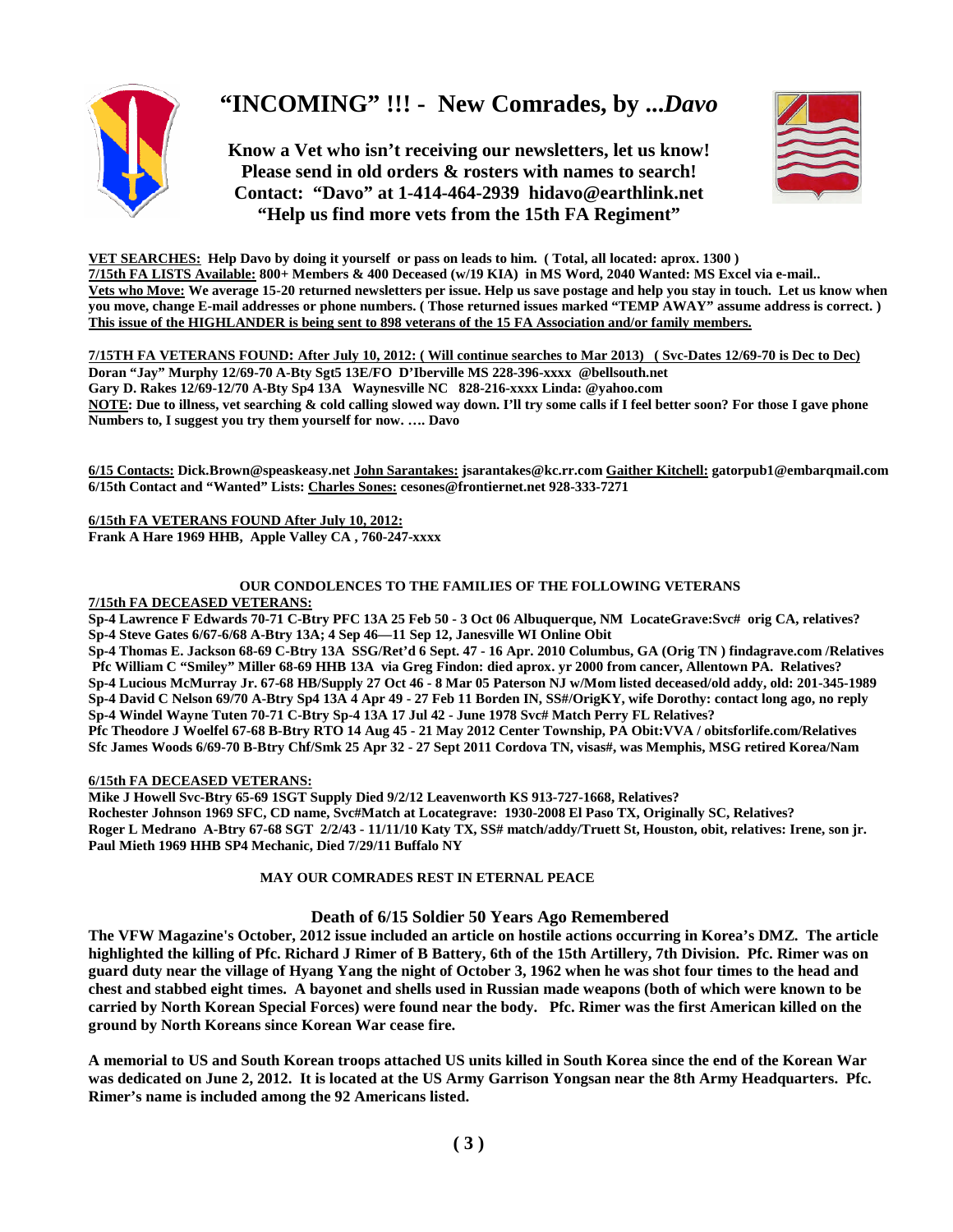

## **"INCOMING" !!! - New Comrades, by ...***Davo*

**Know a Vet who isn't receiving our newsletters, let us know! Please send in old orders & rosters with names to search! Contact: "Davo" at 1-414-464-2939 hidavo@earthlink.net "Help us find more vets from the 15th FA Regiment"**



**VET SEARCHES: Help Davo by doing it yourself or pass on leads to him. ( Total, all located: aprox. 1300 ) 7/15th FA LISTS Available: 800+ Members & 400 Deceased (w/19 KIA) in MS Word, 2040 Wanted: MS Excel via e-mail.. Vets who Move: We average 15-20 returned newsletters per issue. Help us save postage and help you stay in touch. Let us know when you move, change E-mail addresses or phone numbers. ( Those returned issues marked "TEMP AWAY" assume address is correct. ) This issue of the HIGHLANDER is being sent to 898 veterans of the 15 FA Association and/or family members.**

**7/15TH FA VETERANS FOUND: After July 10, 2012: ( Will continue searches to Mar 2013) ( Svc-Dates 12/69-70 is Dec to Dec) Doran "Jay" Murphy 12/69-70 A-Bty Sgt5 13E/FO D'Iberville MS 228-396-xxxx @bellsouth.net Gary D. Rakes 12/69-12/70 A-Bty Sp4 13A Waynesville NC 828-216-xxxx Linda: @yahoo.com NOTE: Due to illness, vet searching & cold calling slowed way down. I'll try some calls if I feel better soon? For those I gave phone Numbers to, I suggest you try them yourself for now. …. Davo**

**6/15 Contacts: Dick.Brown@speaskeasy.net John Sarantakes: jsarantakes@kc.rr.com Gaither Kitchell: gatorpub1@embarqmail.com 6/15th Contact and "Wanted" Lists: Charles Sones: cesones@frontiernet.net 928-333-7271**

**6/15th FA VETERANS FOUND After July 10, 2012: Frank A Hare 1969 HHB, Apple Valley CA , 760-247-xxxx**

#### **OUR CONDOLENCES TO THE FAMILIES OF THE FOLLOWING VETERANS 7/15th FA DECEASED VETERANS:**

**Sp-4 Lawrence F Edwards 70-71 C-Btry PFC 13A 25 Feb 50 - 3 Oct 06 Albuquerque, NM LocateGrave:Svc# orig CA, relatives? Sp-4 Steve Gates 6/67-6/68 A-Btry 13A; 4 Sep 46—11 Sep 12, Janesville WI Online Obit**

**Sp-4 Thomas E. Jackson 68-69 C-Btry 13A SSG/Ret'd 6 Sept. 47 - 16 Apr. 2010 Columbus, GA (Orig TN ) findagrave.com /Relatives Pfc William C "Smiley" Miller 68-69 HHB 13A via Greg Findon: died aprox. yr 2000 from cancer, Allentown PA. Relatives? Sp-4 Lucious McMurray Jr. 67-68 HB/Supply 27 Oct 46 - 8 Mar 05 Paterson NJ w/Mom listed deceased/old addy, old: 201-345-1989 Sp-4 David C Nelson 69/70 A-Btry Sp4 13A 4 Apr 49 - 27 Feb 11 Borden IN, SS#/OrigKY, wife Dorothy: contact long ago, no reply Sp-4 Windel Wayne Tuten 70-71 C-Btry Sp-4 13A 17 Jul 42 - June 1978 Svc# Match Perry FL Relatives?**

**Pfc Theodore J Woelfel 67-68 B-Btry RTO 14 Aug 45 - 21 May 2012 Center Township, PA Obit:VVA / obitsforlife.com/Relatives Sfc James Woods 6/69-70 B-Btry Chf/Smk 25 Apr 32 - 27 Sept 2011 Cordova TN, visas#, was Memphis, MSG retired Korea/Nam**

**6/15th FA DECEASED VETERANS:**

**Mike J Howell Svc-Btry 65-69 1SGT Supply Died 9/2/12 Leavenworth KS 913-727-1668, Relatives? Rochester Johnson 1969 SFC, CD name, Svc#Match at Locategrave: 1930-2008 El Paso TX, Originally SC, Relatives? Roger L Medrano A-Btry 67-68 SGT 2/2/43 - 11/11/10 Katy TX, SS# match/addy/Truett St, Houston, obit, relatives: Irene, son jr. Paul Mieth 1969 HHB SP4 Mechanic, Died 7/29/11 Buffalo NY**

### **MAY OUR COMRADES REST IN ETERNAL PEACE**

### **Death of 6/15 Soldier 50 Years Ago Remembered**

**The VFW Magazine's October, 2012 issue included an article on hostile actions occurring in Korea's DMZ. The article highlighted the killing of Pfc. Richard J Rimer of B Battery, 6th of the 15th Artillery, 7th Division. Pfc. Rimer was on guard duty near the village of Hyang Yang the night of October 3, 1962 when he was shot four times to the head and chest and stabbed eight times. A bayonet and shells used in Russian made weapons (both of which were known to be carried by North Korean Special Forces) were found near the body. Pfc. Rimer was the first American killed on the ground by North Koreans since Korean War cease fire.**

**A memorial to US and South Korean troops attached US units killed in South Korea since the end of the Korean War was dedicated on June 2, 2012. It is located at the US Army Garrison Yongsan near the 8th Army Headquarters. Pfc. Rimer's name is included among the 92 Americans listed.**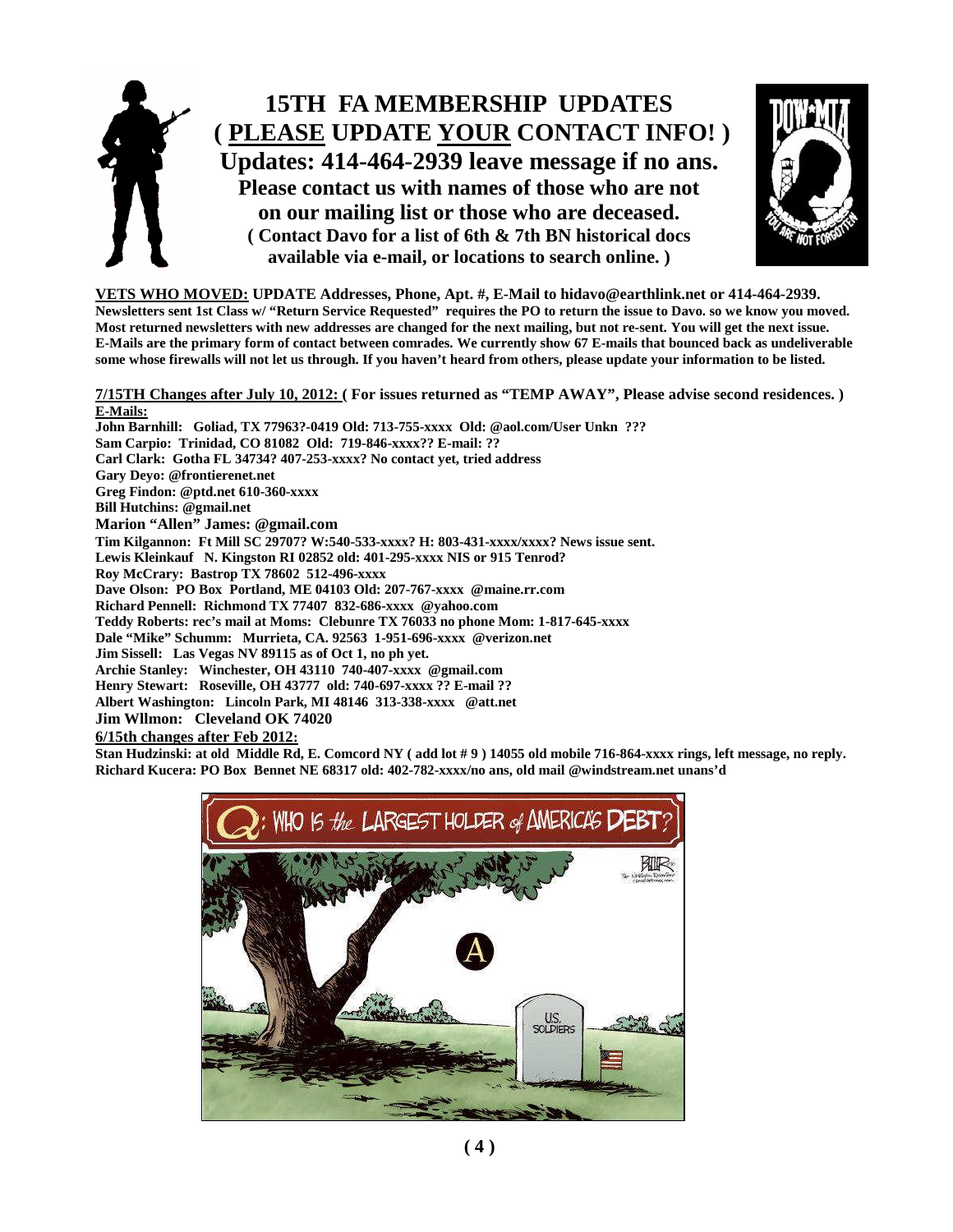



**VETS WHO MOVED: UPDATE Addresses, Phone, Apt. #, E-Mail to hidavo@earthlink.net or 414-464-2939. Newsletters sent 1st Class w/ "Return Service Requested" requires the PO to return the issue to Davo. so we know you moved. Most returned newsletters with new addresses are changed for the next mailing, but not re-sent. You will get the next issue. E-Mails are the primary form of contact between comrades. We currently show 67 E-mails that bounced back as undeliverable some whose firewalls will not let us through. If you haven't heard from others, please update your information to be listed.**

**7/15TH Changes after July 10, 2012: ( For issues returned as "TEMP AWAY", Please advise second residences. ) E-Mails:**

**John Barnhill: Goliad, TX 77963?-0419 Old: 713-755-xxxx Old: @aol.com/User Unkn ??? Sam Carpio: Trinidad, CO 81082 Old: 719-846-xxxx?? E-mail: ?? Carl Clark: Gotha FL 34734? 407-253-xxxx? No contact yet, tried address Gary Deyo: @frontierenet.net Greg Findon: @ptd.net 610-360-xxxx Bill Hutchins: @gmail.net Marion "Allen" James: @gmail.com Tim Kilgannon: Ft Mill SC 29707? W:540-533-xxxx? H: 803-431-xxxx/xxxx? News issue sent. Lewis Kleinkauf N. Kingston RI 02852 old: 401-295-xxxx NIS or 915 Tenrod? Roy McCrary: Bastrop TX 78602 512-496-xxxx Dave Olson: PO Box Portland, ME 04103 Old: 207-767-xxxx @maine.rr.com Richard Pennell: Richmond TX 77407 832-686-xxxx @yahoo.com Teddy Roberts: rec's mail at Moms: Clebunre TX 76033 no phone Mom: 1-817-645-xxxx Dale "Mike" Schumm: Murrieta, CA. 92563 1-951-696-xxxx @verizon.net Jim Sissell: Las Vegas NV 89115 as of Oct 1, no ph yet. Archie Stanley: Winchester, OH 43110 740-407-xxxx @gmail.com Henry Stewart: Roseville, OH 43777 old: 740-697-xxxx ?? E-mail ?? Albert Washington: Lincoln Park, MI 48146 313-338-xxxx @att.net Jim Wllmon: Cleveland OK 74020**

**6/15th changes after Feb 2012:**

**Stan Hudzinski: at old Middle Rd, E. Comcord NY ( add lot # 9 ) 14055 old mobile 716-864-xxxx rings, left message, no reply. Richard Kucera: PO Box Bennet NE 68317 old: 402-782-xxxx/no ans, old mail @windstream.net unans'd**

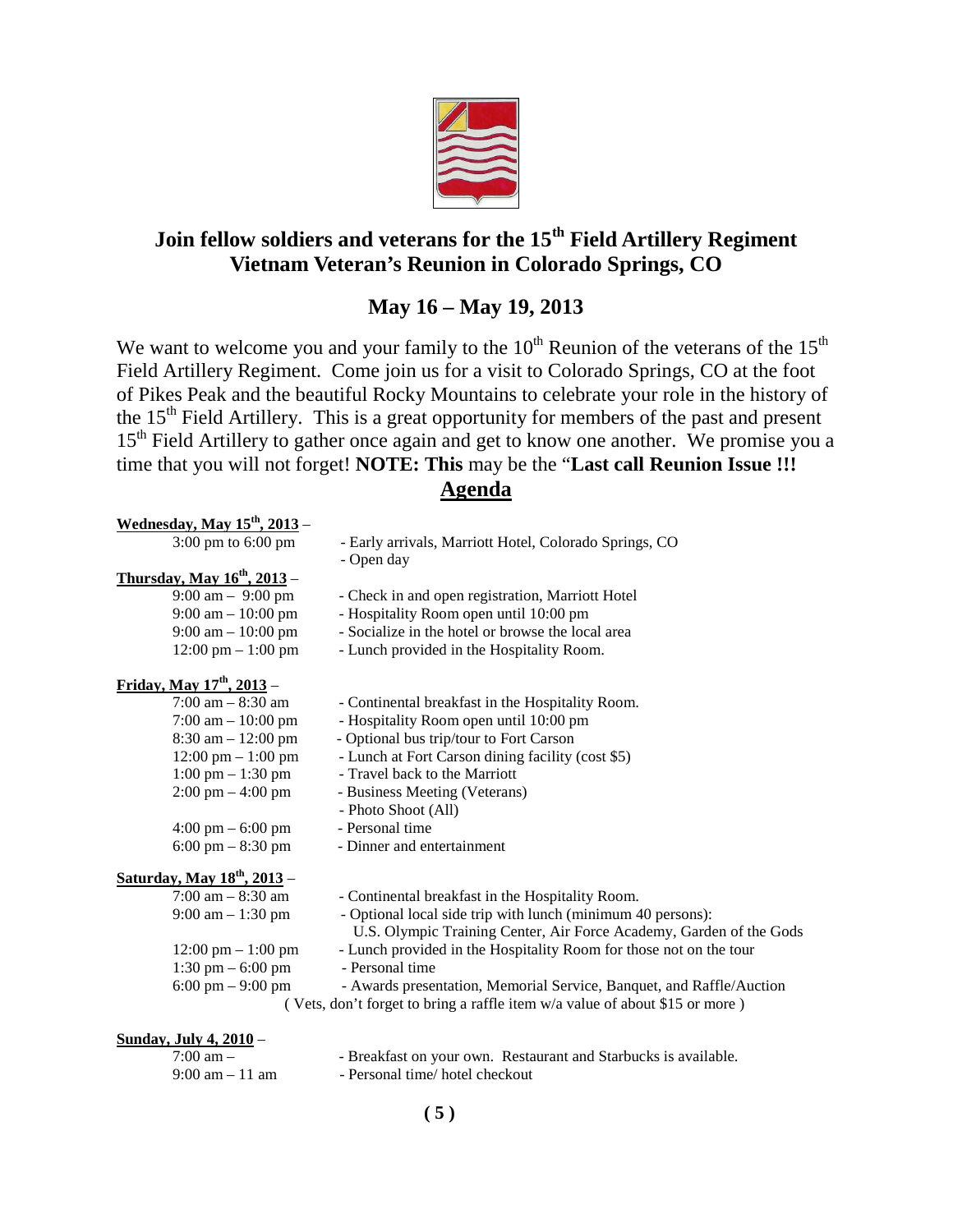

## **Join fellow soldiers and veterans for the 15th Field Artillery Regiment Vietnam Veteran's Reunion in Colorado Springs, CO**

## **May 16 – May 19, 2013**

We want to welcome you and your family to the  $10<sup>th</sup>$  Reunion of the veterans of the  $15<sup>th</sup>$ Field Artillery Regiment. Come join us for a visit to Colorado Springs, CO at the foot of Pikes Peak and the beautiful Rocky Mountains to celebrate your role in the history of the  $15<sup>th</sup>$  Field Artillery. This is a great opportunity for members of the past and present 15<sup>th</sup> Field Artillery to gather once again and get to know one another. We promise you a time that you will not forget! **NOTE: This** may be the "**Last call Reunion Issue !!! Agenda**

| <u>Wednesday, May <math>15^{th}</math>, 2013</u> – |                                                                                                                                    |
|----------------------------------------------------|------------------------------------------------------------------------------------------------------------------------------------|
| $3:00 \text{ pm}$ to $6:00 \text{ pm}$             | - Early arrivals, Marriott Hotel, Colorado Springs, CO                                                                             |
|                                                    | - Open day                                                                                                                         |
| Thursday, May $16^{th}$ , 2013 –                   |                                                                                                                                    |
| $9:00 \text{ am} - 9:00 \text{ pm}$                | - Check in and open registration, Marriott Hotel                                                                                   |
| $9:00 \text{ am} - 10:00 \text{ pm}$               | - Hospitality Room open until 10:00 pm                                                                                             |
| $9:00 \text{ am} - 10:00 \text{ pm}$               | - Socialize in the hotel or browse the local area                                                                                  |
| $12:00 \text{ pm} - 1:00 \text{ pm}$               | - Lunch provided in the Hospitality Room.                                                                                          |
| <u>Friday, May <math>17^{th}</math>, 2013</u> –    |                                                                                                                                    |
| $7:00$ am $-8:30$ am                               | - Continental breakfast in the Hospitality Room.                                                                                   |
| 7:00 am $- 10:00$ pm                               | - Hospitality Room open until 10:00 pm                                                                                             |
| $8:30$ am $-12:00$ pm                              | - Optional bus trip/tour to Fort Carson                                                                                            |
| $12:00 \text{ pm} - 1:00 \text{ pm}$               | - Lunch at Fort Carson dining facility (cost \$5)                                                                                  |
| $1:00 \text{ pm} - 1:30 \text{ pm}$                | - Travel back to the Marriott                                                                                                      |
| $2:00 \text{ pm} - 4:00 \text{ pm}$                | - Business Meeting (Veterans)                                                                                                      |
|                                                    | - Photo Shoot (All)                                                                                                                |
| $4:00 \text{ pm} - 6:00 \text{ pm}$                | - Personal time                                                                                                                    |
| $6:00 \text{ pm} - 8:30 \text{ pm}$                | - Dinner and entertainment                                                                                                         |
| <u>Saturday, May 18<sup>th</sup>, 2013</u> –       |                                                                                                                                    |
| $7:00 \text{ am} - 8:30 \text{ am}$                | - Continental breakfast in the Hospitality Room.                                                                                   |
| $9:00$ am $-1:30$ pm                               | - Optional local side trip with lunch (minimum 40 persons):<br>U.S. Olympic Training Center, Air Force Academy, Garden of the Gods |
| $12:00 \text{ pm} - 1:00 \text{ pm}$               | - Lunch provided in the Hospitality Room for those not on the tour                                                                 |
| 1:30 pm $-$ 6:00 pm                                | - Personal time                                                                                                                    |
| 6:00 pm $-9:00$ pm                                 | - Awards presentation, Memorial Service, Banquet, and Raffle/Auction                                                               |
|                                                    | (Vets, don't forget to bring a raffle item w/a value of about \$15 or more)                                                        |

### **Sunday, July 4, 2010** –

| $7:00 \text{ am } -$              | - Breakfast on your own. Restaurant and Starbucks is available. |
|-----------------------------------|-----------------------------------------------------------------|
| $9:00 \text{ am} - 11 \text{ am}$ | - Personal time/ hotel checkout                                 |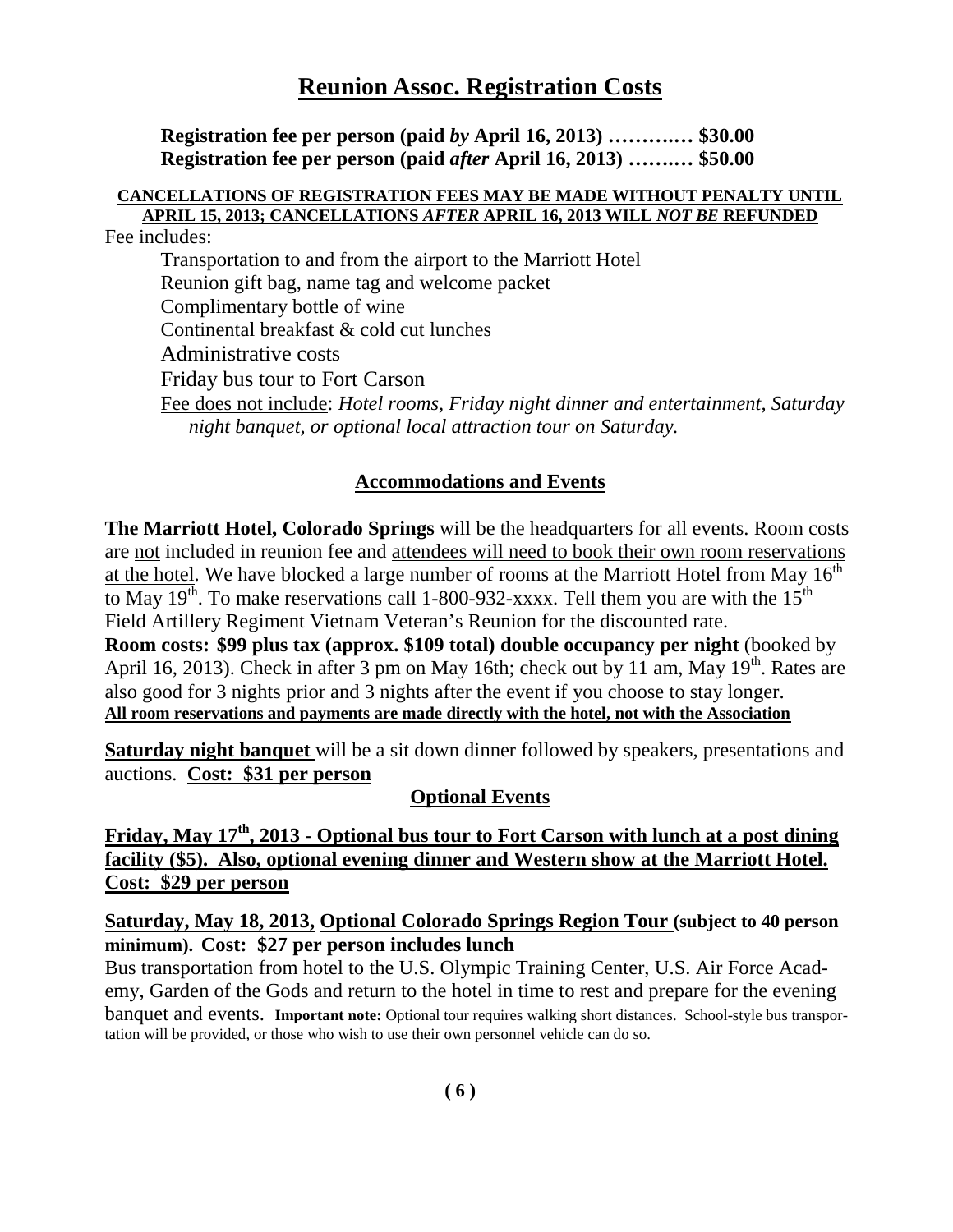## **Reunion Assoc. Registration Costs**

**Registration fee per person (paid** *by* **April 16, 2013) ……….… \$30.00 Registration fee per person (paid** *after* **April 16, 2013) …….… \$50.00**

### **CANCELLATIONS OF REGISTRATION FEES MAY BE MADE WITHOUT PENALTY UNTIL APRIL 15, 2013; CANCELLATIONS** *AFTER* **APRIL 16, 2013 WILL** *NOT BE* **REFUNDED** Fee includes:

Transportation to and from the airport to the Marriott Hotel Reunion gift bag, name tag and welcome packet Complimentary bottle of wine Continental breakfast & cold cut lunches Administrative costs Friday bus tour to Fort Carson Fee does not include: *Hotel rooms, Friday night dinner and entertainment, Saturday night banquet, or optional local attraction tour on Saturday.*

### **Accommodations and Events**

**The Marriott Hotel, Colorado Springs** will be the headquarters for all events. Room costs are not included in reunion fee and attendees will need to book their own room reservations at the hotel. We have blocked a large number of rooms at the Marriott Hotel from May  $16<sup>th</sup>$ to May 19<sup>th</sup>. To make reservations call 1-800-932-xxxx. Tell them you are with the 15<sup>th</sup> Field Artillery Regiment Vietnam Veteran's Reunion for the discounted rate.

**Room costs: \$99 plus tax (approx. \$109 total) double occupancy per night** (booked by April 16, 2013). Check in after 3 pm on May 16th; check out by 11 am, May  $19<sup>th</sup>$ . Rates are also good for 3 nights prior and 3 nights after the event if you choose to stay longer. **All room reservations and payments are made directly with the hotel, not with the Association**

**Saturday night banquet** will be a sit down dinner followed by speakers, presentations and auctions. **Cost: \$31 per person**

### **Optional Events**

**Friday, May 17th, 2013 - Optional bus tour to Fort Carson with lunch at a post dining facility (\$5). Also, optional evening dinner and Western show at the Marriott Hotel. Cost: \$29 per person**

### **Saturday, May 18, 2013, Optional Colorado Springs Region Tour (subject to 40 person minimum). Cost: \$27 per person includes lunch**

Bus transportation from hotel to the U.S. Olympic Training Center, U.S. Air Force Academy, Garden of the Gods and return to the hotel in time to rest and prepare for the evening banquet and events. **Important note:** Optional tour requires walking short distances. School-style bus transportation will be provided, or those who wish to use their own personnel vehicle can do so.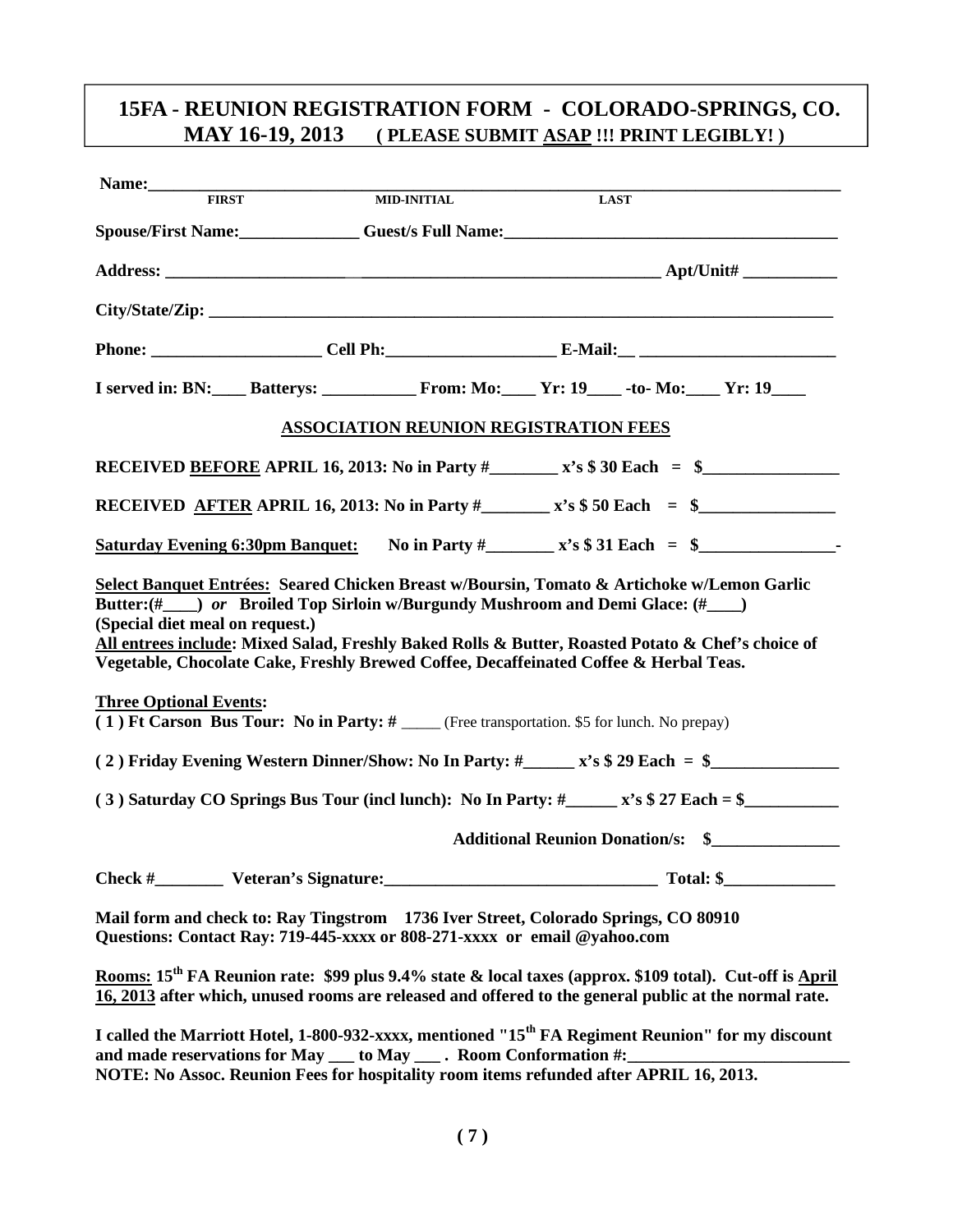## **15FA - REUNION REGISTRATION FORM - COLORADO-SPRINGS, CO. MAY 16-19, 2013 ( PLEASE SUBMIT ASAP !!! PRINT LEGIBLY! )**

| Name: FIRST                                                                                                                                                                                                                                                                                                                                                                                                                                  |                                                                                             |                                              |                                                                                                                                                                                                                              |  |  |
|----------------------------------------------------------------------------------------------------------------------------------------------------------------------------------------------------------------------------------------------------------------------------------------------------------------------------------------------------------------------------------------------------------------------------------------------|---------------------------------------------------------------------------------------------|----------------------------------------------|------------------------------------------------------------------------------------------------------------------------------------------------------------------------------------------------------------------------------|--|--|
|                                                                                                                                                                                                                                                                                                                                                                                                                                              | <b>MID-INITIAL</b>                                                                          |                                              | <b>LAST</b>                                                                                                                                                                                                                  |  |  |
|                                                                                                                                                                                                                                                                                                                                                                                                                                              |                                                                                             |                                              | Spouse/First Name:<br>Guest/s Full Name:<br>1988 - Container Spouse/First Name:                                                                                                                                              |  |  |
|                                                                                                                                                                                                                                                                                                                                                                                                                                              |                                                                                             |                                              |                                                                                                                                                                                                                              |  |  |
|                                                                                                                                                                                                                                                                                                                                                                                                                                              |                                                                                             |                                              |                                                                                                                                                                                                                              |  |  |
|                                                                                                                                                                                                                                                                                                                                                                                                                                              |                                                                                             |                                              |                                                                                                                                                                                                                              |  |  |
|                                                                                                                                                                                                                                                                                                                                                                                                                                              |                                                                                             |                                              |                                                                                                                                                                                                                              |  |  |
|                                                                                                                                                                                                                                                                                                                                                                                                                                              |                                                                                             | <b>ASSOCIATION REUNION REGISTRATION FEES</b> |                                                                                                                                                                                                                              |  |  |
|                                                                                                                                                                                                                                                                                                                                                                                                                                              |                                                                                             |                                              | RECEIVED <u>BEFORE</u> APRIL 16, 2013: No in Party $\#$ x's \$ 30 Each = \$                                                                                                                                                  |  |  |
|                                                                                                                                                                                                                                                                                                                                                                                                                                              |                                                                                             |                                              | RECEIVED AFTER APRIL 16, 2013: No in Party $\#$ x's \$50 Each = \$                                                                                                                                                           |  |  |
|                                                                                                                                                                                                                                                                                                                                                                                                                                              |                                                                                             |                                              | Saturday Evening 6:30pm Banquet: No in Party $\#$ $x$ 's \$ 31 Each = \$                                                                                                                                                     |  |  |
| Select Banquet Entrées: Seared Chicken Breast w/Boursin, Tomato & Artichoke w/Lemon Garlic<br>Butter: (# ) or Broiled Top Sirloin w/Burgundy Mushroom and Demi Glace: (# )<br>(Special diet meal on request.)<br>All entrees include: Mixed Salad, Freshly Baked Rolls & Butter, Roasted Potato & Chef's choice of<br>Vegetable, Chocolate Cake, Freshly Brewed Coffee, Decaffeinated Coffee & Herbal Teas.<br><b>Three Optional Events:</b> |                                                                                             |                                              |                                                                                                                                                                                                                              |  |  |
|                                                                                                                                                                                                                                                                                                                                                                                                                                              | (1) Ft Carson Bus Tour: No in Party: # ____ (Free transportation. \$5 for lunch. No prepay) |                                              |                                                                                                                                                                                                                              |  |  |
|                                                                                                                                                                                                                                                                                                                                                                                                                                              |                                                                                             |                                              |                                                                                                                                                                                                                              |  |  |
|                                                                                                                                                                                                                                                                                                                                                                                                                                              |                                                                                             |                                              | (3) Saturday CO Springs Bus Tour (incl lunch): No In Party: $\#$ $\_\_\ x$ 's \$ 27 Each = \$                                                                                                                                |  |  |
|                                                                                                                                                                                                                                                                                                                                                                                                                                              |                                                                                             |                                              | <b>Additional Reunion Donation/s: \$</b>                                                                                                                                                                                     |  |  |
|                                                                                                                                                                                                                                                                                                                                                                                                                                              |                                                                                             |                                              | Total: \$                                                                                                                                                                                                                    |  |  |
| Mail form and check to: Ray Tingstrom 1736 Iver Street, Colorado Springs, CO 80910<br>Questions: Contact Ray: 719-445-xxxx or 808-271-xxxx or email @yahoo.com                                                                                                                                                                                                                                                                               |                                                                                             |                                              |                                                                                                                                                                                                                              |  |  |
|                                                                                                                                                                                                                                                                                                                                                                                                                                              |                                                                                             |                                              | Rooms: 15 <sup>th</sup> FA Reunion rate: \$99 plus 9.4% state & local taxes (approx. \$109 total). Cut-off is April<br>16, 2013 after which, unused rooms are released and offered to the general public at the normal rate. |  |  |
| I called the Marriott Hotel, 1-800-932-xxxx, mentioned "15 <sup>th</sup> FA Regiment Reunion" for my discount<br>and made reservations for May __ to May __ . Room Conformation #:<br>NOTE: No Assoc. Reunion Fees for hospitality room items refunded after APRIL 16, 2013.                                                                                                                                                                 |                                                                                             |                                              |                                                                                                                                                                                                                              |  |  |
|                                                                                                                                                                                                                                                                                                                                                                                                                                              |                                                                                             |                                              |                                                                                                                                                                                                                              |  |  |
|                                                                                                                                                                                                                                                                                                                                                                                                                                              |                                                                                             | (7)                                          |                                                                                                                                                                                                                              |  |  |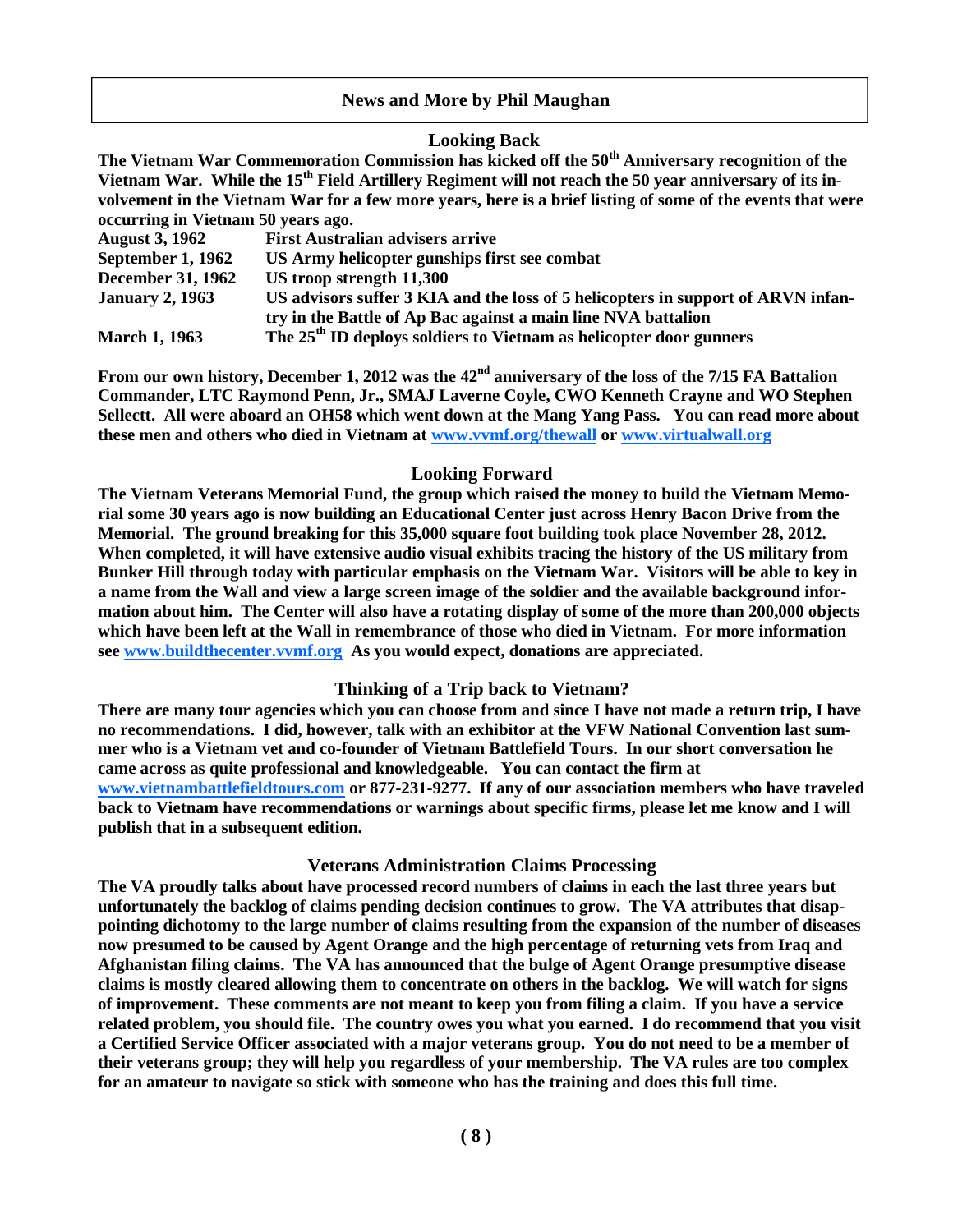### **News and More by Phil Maughan**

### **Looking Back**

**The Vietnam War Commemoration Commission has kicked off the 50th Anniversary recognition of the Vietnam War. While the 15th Field Artillery Regiment will not reach the 50 year anniversary of its involvement in the Vietnam War for a few more years, here is a brief listing of some of the events that were occurring in Vietnam 50 years ago.**

| <b>August 3, 1962</b>    | <b>First Australian advisers arrive</b>                                          |
|--------------------------|----------------------------------------------------------------------------------|
| September 1, 1962        | US Army helicopter gunships first see combat                                     |
| <b>December 31, 1962</b> | US troop strength 11,300                                                         |
| <b>January 2, 1963</b>   | US advisors suffer 3 KIA and the loss of 5 helicopters in support of ARVN infan- |
|                          | try in the Battle of Ap Bac against a main line NVA battalion                    |
| <b>March 1, 1963</b>     | The $25th$ ID deploys soldiers to Vietnam as helicopter door gunners             |

**From our own history, December 1, 2012 was the 42nd anniversary of the loss of the 7/15 FA Battalion Commander, LTC Raymond Penn, Jr., SMAJ Laverne Coyle, CWO Kenneth Crayne and WO Stephen Sellectt. All were aboard an OH58 which went down at the Mang Yang Pass. You can read more about these men and others who died in Vietnam at www.vvmf.org/thewall or www.virtualwall.org**

### **Looking Forward**

**The Vietnam Veterans Memorial Fund, the group which raised the money to build the Vietnam Memorial some 30 years ago is now building an Educational Center just across Henry Bacon Drive from the Memorial. The ground breaking for this 35,000 square foot building took place November 28, 2012. When completed, it will have extensive audio visual exhibits tracing the history of the US military from Bunker Hill through today with particular emphasis on the Vietnam War. Visitors will be able to key in a name from the Wall and view a large screen image of the soldier and the available background information about him. The Center will also have a rotating display of some of the more than 200,000 objects which have been left at the Wall in remembrance of those who died in Vietnam. For more information see www.buildthecenter.vvmf.org As you would expect, donations are appreciated.**

### **Thinking of a Trip back to Vietnam?**

**There are many tour agencies which you can choose from and since I have not made a return trip, I have no recommendations. I did, however, talk with an exhibitor at the VFW National Convention last summer who is a Vietnam vet and co-founder of Vietnam Battlefield Tours. In our short conversation he came across as quite professional and knowledgeable. You can contact the firm at www.vietnambattlefieldtours.com or 877-231-9277. If any of our association members who have traveled back to Vietnam have recommendations or warnings about specific firms, please let me know and I will publish that in a subsequent edition.**

### **Veterans Administration Claims Processing**

**The VA proudly talks about have processed record numbers of claims in each the last three years but unfortunately the backlog of claims pending decision continues to grow. The VA attributes that disappointing dichotomy to the large number of claims resulting from the expansion of the number of diseases now presumed to be caused by Agent Orange and the high percentage of returning vets from Iraq and Afghanistan filing claims. The VA has announced that the bulge of Agent Orange presumptive disease claims is mostly cleared allowing them to concentrate on others in the backlog. We will watch for signs of improvement. These comments are not meant to keep you from filing a claim. If you have a service related problem, you should file. The country owes you what you earned. I do recommend that you visit a Certified Service Officer associated with a major veterans group. You do not need to be a member of their veterans group; they will help you regardless of your membership. The VA rules are too complex for an amateur to navigate so stick with someone who has the training and does this full time.**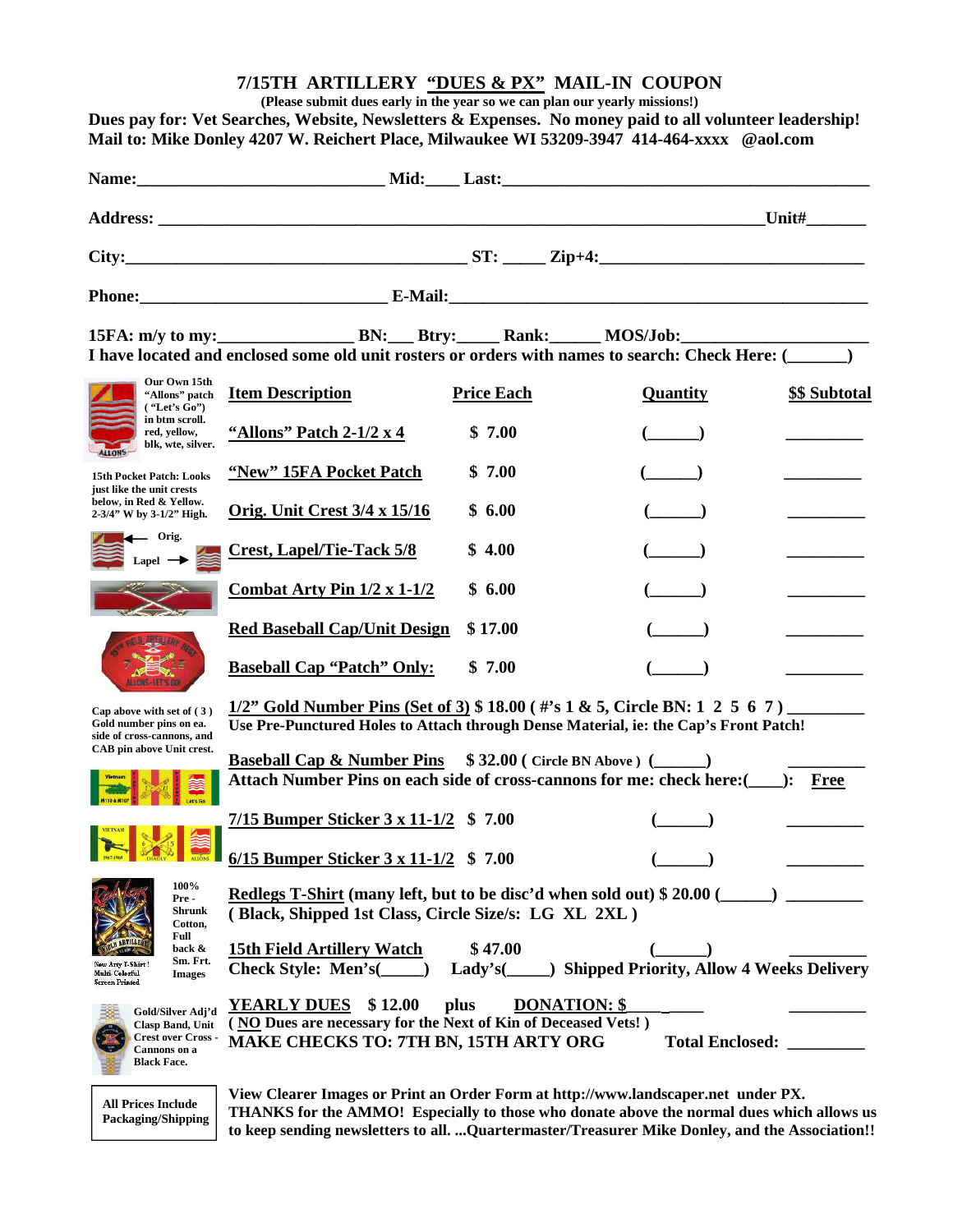### **7/15TH ARTILLERY "DUES & PX" MAIL-IN COUPON**

**(Please submit dues early in the year so we can plan our yearly missions!)**

**Dues pay for: Vet Searches, Website, Newsletters & Expenses. No money paid to all volunteer leadership! Mail to: Mike Donley 4207 W. Reichert Place, Milwaukee WI 53209-3947 414-464-xxxx @aol.com**

|              |                                                                                                   |  |          | Unit# $\qquad \qquad$ |
|--------------|---------------------------------------------------------------------------------------------------|--|----------|-----------------------|
|              |                                                                                                   |  |          |                       |
|              |                                                                                                   |  |          |                       |
|              | I have located and enclosed some old unit rosters or orders with names to search: Check Here: ( ) |  |          |                       |
| Our Own 15th | <sup>1</sup> "Allons" patch <b>Item Description</b> Price Each                                    |  | Quantity | \$\$ Subtotal         |



**15th Pocket Patch: Looks just like the unit crests below, in Red & Yellow. 2-3/4" W by 3-1/2" High.**





**Cap above with set of ( 3 ) Gold number pins on ea. side of cross-cannons, and CAB pin above Unit crest.**





**100% Pre - Shrunk**



**Cotton, Full back & Sm. Frt.** Arty T-Shirt new may .<br>Screen Printed



**Check Style: Men's(\_\_\_\_\_) Lady's(\_\_\_\_\_) Shipped Priority, Allow 4 Weeks Delivery** YEARLY DUES  $$ 12.00$  plus DONATION: \$ **( NO Dues are necessary for the Next of Kin of Deceased Vets! ) MAKE CHECKS TO: 7TH BN, 15TH ARTY ORG Total Enclosed: \_\_\_\_\_\_\_\_\_**

**All Prices Include Packaging/Shipping**

**View Clearer Images or Print an Order Form at http://www.landscaper.net under PX. THANKS for the AMMO! Especially to those who donate above the normal dues which allows us to keep sending newsletters to all. ...Quartermaster/Treasurer Mike Donley, and the Association!!**

| <b>Item Description</b>             | <b>Price Each</b> | <b>Quantity</b> | \$\$ Subtota |
|-------------------------------------|-------------------|-----------------|--------------|
| "Allons" Patch $2-1/2 \times 4$     | \$7.00            |                 |              |
| "New" 15FA Pocket Patch             | \$7.00            |                 |              |
| Orig. Unit Crest $3/4 \times 15/16$ | \$6.00            |                 |              |
| <b>Crest, Lapel/Tie-Tack 5/8</b>    | \$4.00            |                 |              |
| Combat Arty Pin $1/2 \times 1-1/2$  | \$6.00            |                 |              |
| <b>Red Baseball Cap/Unit Design</b> | \$17.00           |                 |              |
| <b>Baseball Cap "Patch" Only:</b>   | \$7.00            |                 |              |

**1/2" Gold Number Pins (Set of 3) \$ 18.00 ( #'s 1 & 5, Circle BN: 1 2 5 6 7 ) \_\_\_\_\_\_\_\_\_ Use Pre-Punctured Holes to Attach through Dense Material, ie: the Cap's Front Patch!**

**Baseball Cap & Number Pins \$ 32.00 ( Circle BN Above ) (\_\_\_\_\_\_) \_\_\_\_\_\_\_\_\_ Attach Number Pins on each side of cross-cannons for me: check here:(\_\_\_\_): Free**

**7/15 Bumper Sticker 3 x 11-1/2 \$ 7.00 (\_\_\_\_\_\_) \_\_\_\_\_\_\_\_\_ 6/15 Bumper Sticker 3 x 11-1/2 \$ 7.00 (\_\_\_\_\_\_) \_\_\_\_\_\_\_\_\_**

**Redlegs T-Shirt (many left, but to be disc'd when sold out) \$ 20.00 ( ( Black, Shipped 1st Class, Circle Size/s: LG XL 2XL )**

**15th Field Artillery Watch \$ 47.00 (\_\_\_\_\_\_) \_\_\_\_\_\_\_\_\_**

**Images**

**Gold/Silver Adj'd Clasp Band, Unit Crest over Cross - Cannons on a**